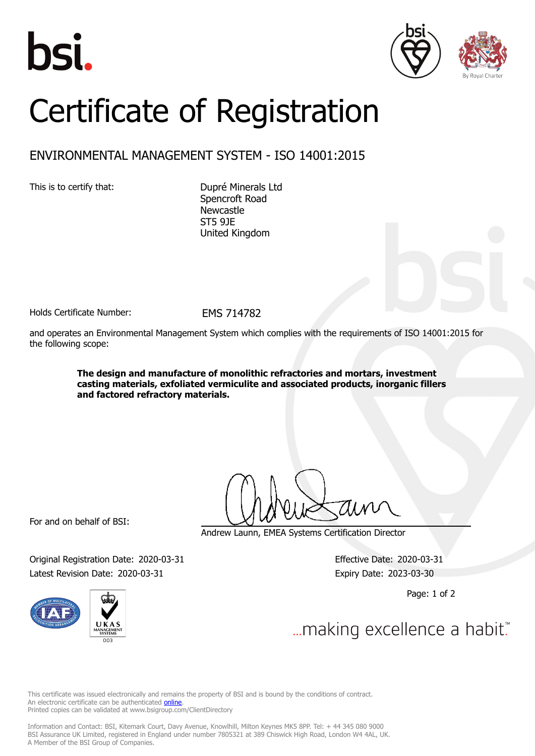





## Certificate of Registration

## ENVIRONMENTAL MANAGEMENT SYSTEM - ISO 14001:2015

This is to certify that: Dupré Minerals Ltd

Spencroft Road Newcastle ST5 9JE United Kingdom

Holds Certificate Number: FMS 714782

and operates an Environmental Management System which complies with the requirements of ISO 14001:2015 for the following scope:

> **The design and manufacture of monolithic refractories and mortars, investment casting materials, exfoliated vermiculite and associated products, inorganic fillers and factored refractory materials.**

For and on behalf of BSI:

Andrew Launn, EMEA Systems Certification Director

Original Registration Date: 2020-03-31 Effective Date: 2020-03-31 Latest Revision Date: 2020-03-31 Expiry Date: 2023-03-30

Page: 1 of 2





... making excellence a habit."

This certificate was issued electronically and remains the property of BSI and is bound by the conditions of contract. An electronic certificate can be authenticated **[online](https://pgplus.bsigroup.com/CertificateValidation/CertificateValidator.aspx?CertificateNumber=EMS+714782&ReIssueDate=31%2f03%2f2020&Template=uk)**. Printed copies can be validated at www.bsigroup.com/ClientDirectory

Information and Contact: BSI, Kitemark Court, Davy Avenue, Knowlhill, Milton Keynes MK5 8PP. Tel: + 44 345 080 9000 BSI Assurance UK Limited, registered in England under number 7805321 at 389 Chiswick High Road, London W4 4AL, UK. A Member of the BSI Group of Companies.